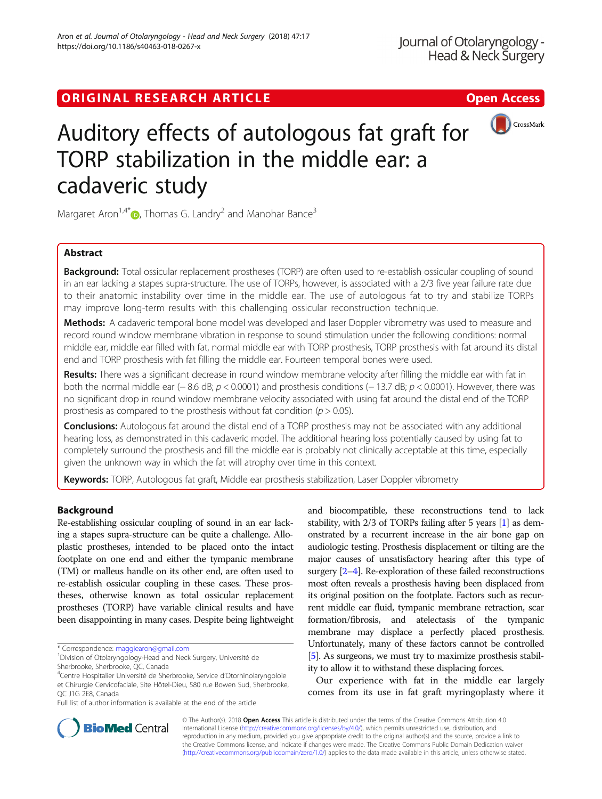# ORIGINAL RESEARCH ARTICLE **External of the Contract Contract Contract Contract Contract Contract Contract Contract Contract Contract Contract Contract Contract Contract Contract Contract Contract Contract Contract Contract**



# Auditory effects of autologous fat graft for TORP stabilization in the middle ear: a cadaveric study

Margaret Aron<sup>1,4[\\*](http://orcid.org/0000-0001-5097-8945)</sup> $\bullet$ , Thomas G. Landry<sup>2</sup> and Manohar Bance<sup>3</sup>

# Abstract

Background: Total ossicular replacement prostheses (TORP) are often used to re-establish ossicular coupling of sound in an ear lacking a stapes supra-structure. The use of TORPs, however, is associated with a 2/3 five year failure rate due to their anatomic instability over time in the middle ear. The use of autologous fat to try and stabilize TORPs may improve long-term results with this challenging ossicular reconstruction technique.

Methods: A cadaveric temporal bone model was developed and laser Doppler vibrometry was used to measure and record round window membrane vibration in response to sound stimulation under the following conditions: normal middle ear, middle ear filled with fat, normal middle ear with TORP prosthesis, TORP prosthesis with fat around its distal end and TORP prosthesis with fat filling the middle ear. Fourteen temporal bones were used.

Results: There was a significant decrease in round window membrane velocity after filling the middle ear with fat in both the normal middle ear (−8.6 dB;  $p$  < 0.0001) and prosthesis conditions (−13.7 dB;  $p$  < 0.0001). However, there was no significant drop in round window membrane velocity associated with using fat around the distal end of the TORP prosthesis as compared to the prosthesis without fat condition ( $p > 0.05$ ).

**Conclusions:** Autologous fat around the distal end of a TORP prosthesis may not be associated with any additional hearing loss, as demonstrated in this cadaveric model. The additional hearing loss potentially caused by using fat to completely surround the prosthesis and fill the middle ear is probably not clinically acceptable at this time, especially given the unknown way in which the fat will atrophy over time in this context.

Keywords: TORP, Autologous fat graft, Middle ear prosthesis stabilization, Laser Doppler vibrometry

# Background

Re-establishing ossicular coupling of sound in an ear lacking a stapes supra-structure can be quite a challenge. Alloplastic prostheses, intended to be placed onto the intact footplate on one end and either the tympanic membrane (TM) or malleus handle on its other end, are often used to re-establish ossicular coupling in these cases. These prostheses, otherwise known as total ossicular replacement prostheses (TORP) have variable clinical results and have been disappointing in many cases. Despite being lightweight

\* Correspondence: [maggiearon@gmail.com](mailto:maggiearon@gmail.com) <sup>1</sup>

Full list of author information is available at the end of the article

and biocompatible, these reconstructions tend to lack stability, with 2/3 of TORPs failing after 5 years [[1](#page-4-0)] as demonstrated by a recurrent increase in the air bone gap on audiologic testing. Prosthesis displacement or tilting are the major causes of unsatisfactory hearing after this type of surgery [\[2](#page-4-0)–[4\]](#page-4-0). Re-exploration of these failed reconstructions most often reveals a prosthesis having been displaced from its original position on the footplate. Factors such as recurrent middle ear fluid, tympanic membrane retraction, scar formation/fibrosis, and atelectasis of the tympanic membrane may displace a perfectly placed prosthesis. Unfortunately, many of these factors cannot be controlled [[5](#page-4-0)]. As surgeons, we must try to maximize prosthesis stability to allow it to withstand these displacing forces.

Our experience with fat in the middle ear largely comes from its use in fat graft myringoplasty where it



© The Author(s). 2018 Open Access This article is distributed under the terms of the Creative Commons Attribution 4.0 International License [\(http://creativecommons.org/licenses/by/4.0/](http://creativecommons.org/licenses/by/4.0/)), which permits unrestricted use, distribution, and reproduction in any medium, provided you give appropriate credit to the original author(s) and the source, provide a link to the Creative Commons license, and indicate if changes were made. The Creative Commons Public Domain Dedication waiver [\(http://creativecommons.org/publicdomain/zero/1.0/](http://creativecommons.org/publicdomain/zero/1.0/)) applies to the data made available in this article, unless otherwise stated.

<sup>&</sup>lt;sup>1</sup> Division of Otolaryngology-Head and Neck Surgery, Université de Sherbrooke, Sherbrooke, QC, Canada

<sup>&</sup>lt;sup>4</sup>Centre Hospitalier Université de Sherbrooke, Service d'Otorhinolaryngoloie et Chirurgie Cervicofaciale, Site Hôtel-Dieu, 580 rue Bowen Sud, Sherbrooke, QC J1G 2E8, Canada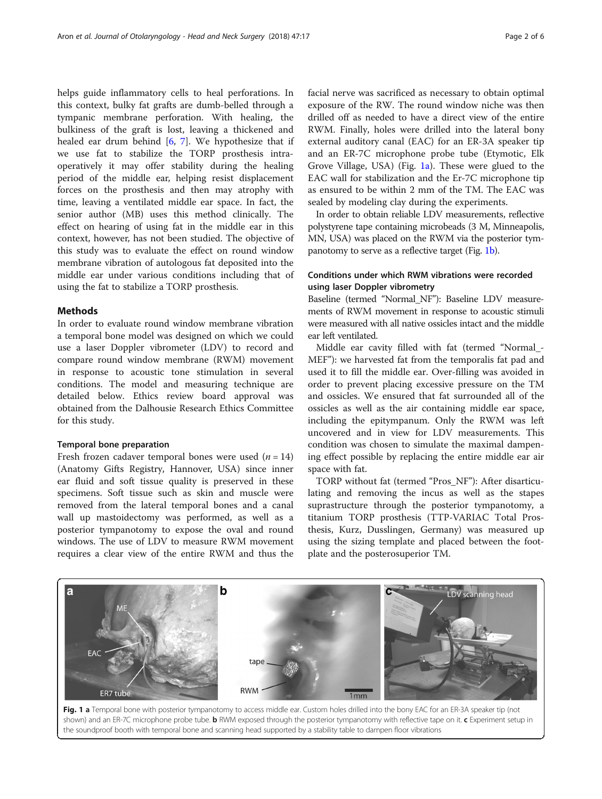<span id="page-1-0"></span>helps guide inflammatory cells to heal perforations. In this context, bulky fat grafts are dumb-belled through a tympanic membrane perforation. With healing, the bulkiness of the graft is lost, leaving a thickened and healed ear drum behind  $[6, 7]$  $[6, 7]$  $[6, 7]$  $[6, 7]$  $[6, 7]$ . We hypothesize that if we use fat to stabilize the TORP prosthesis intraoperatively it may offer stability during the healing period of the middle ear, helping resist displacement forces on the prosthesis and then may atrophy with time, leaving a ventilated middle ear space. In fact, the senior author (MB) uses this method clinically. The effect on hearing of using fat in the middle ear in this context, however, has not been studied. The objective of this study was to evaluate the effect on round window membrane vibration of autologous fat deposited into the middle ear under various conditions including that of using the fat to stabilize a TORP prosthesis.

# **Methods**

In order to evaluate round window membrane vibration a temporal bone model was designed on which we could use a laser Doppler vibrometer (LDV) to record and compare round window membrane (RWM) movement in response to acoustic tone stimulation in several conditions. The model and measuring technique are detailed below. Ethics review board approval was obtained from the Dalhousie Research Ethics Committee for this study.

#### Temporal bone preparation

Fresh frozen cadaver temporal bones were used  $(n = 14)$ (Anatomy Gifts Registry, Hannover, USA) since inner ear fluid and soft tissue quality is preserved in these specimens. Soft tissue such as skin and muscle were removed from the lateral temporal bones and a canal wall up mastoidectomy was performed, as well as a posterior tympanotomy to expose the oval and round windows. The use of LDV to measure RWM movement requires a clear view of the entire RWM and thus the facial nerve was sacrificed as necessary to obtain optimal exposure of the RW. The round window niche was then drilled off as needed to have a direct view of the entire RWM. Finally, holes were drilled into the lateral bony external auditory canal (EAC) for an ER-3A speaker tip and an ER-7C microphone probe tube (Etymotic, Elk Grove Village, USA) (Fig. 1a). These were glued to the EAC wall for stabilization and the Er-7C microphone tip as ensured to be within 2 mm of the TM. The EAC was sealed by modeling clay during the experiments.

In order to obtain reliable LDV measurements, reflective polystyrene tape containing microbeads (3 M, Minneapolis, MN, USA) was placed on the RWM via the posterior tympanotomy to serve as a reflective target (Fig. 1b).

# Conditions under which RWM vibrations were recorded using laser Doppler vibrometry

Baseline (termed "Normal\_NF"): Baseline LDV measurements of RWM movement in response to acoustic stimuli were measured with all native ossicles intact and the middle ear left ventilated.

Middle ear cavity filled with fat (termed "Normal\_- MEF"): we harvested fat from the temporalis fat pad and used it to fill the middle ear. Over-filling was avoided in order to prevent placing excessive pressure on the TM and ossicles. We ensured that fat surrounded all of the ossicles as well as the air containing middle ear space, including the epitympanum. Only the RWM was left uncovered and in view for LDV measurements. This condition was chosen to simulate the maximal dampening effect possible by replacing the entire middle ear air space with fat.

TORP without fat (termed "Pros\_NF"): After disarticulating and removing the incus as well as the stapes suprastructure through the posterior tympanotomy, a titanium TORP prosthesis (TTP-VARIAC Total Prosthesis, Kurz, Dusslingen, Germany) was measured up using the sizing template and placed between the footplate and the posterosuperior TM.



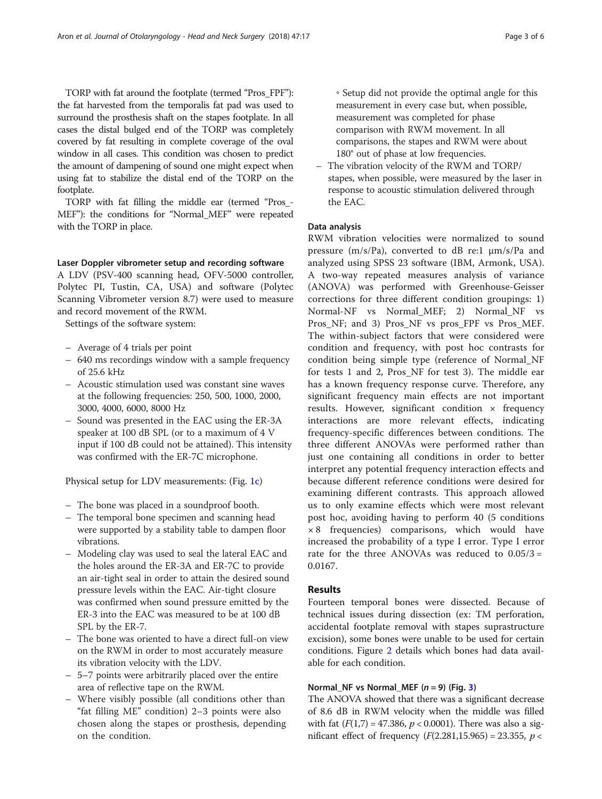TORP with fat around the footplate (termed "Pros\_FPF"): the fat harvested from the temporalis fat pad was used to surround the prosthesis shaft on the stapes footplate. In all cases the distal bulged end of the TORP was completely covered by fat resulting in complete coverage of the oval window in all cases. This condition was chosen to predict the amount of dampening of sound one might expect when using fat to stabilize the distal end of the TORP on the footplate.

TORP with fat filling the middle ear (termed "Pros\_- MEF"): the conditions for "Normal\_MEF" were repeated with the TORP in place.

#### Laser Doppler vibrometer setup and recording software

A LDV (PSV-400 scanning head, OFV-5000 controller, Polytec PI, Tustin, CA, USA) and software (Polytec Scanning Vibrometer version 8.7) were used to measure and record movement of the RWM.

Settings of the software system:

- Average of 4 trials per point
- 640 ms recordings window with a sample frequency of 25.6 kHz
- Acoustic stimulation used was constant sine waves at the following frequencies: 250, 500, 1000, 2000, 3000, 4000, 6000, 8000 Hz
- Sound was presented in the EAC using the ER-3A speaker at 100 dB SPL (or to a maximum of 4 V input if 100 dB could not be attained). This intensity was confirmed with the ER-7C microphone.

Physical setup for LDV measurements: (Fig. [1c\)](#page-1-0)

- The bone was placed in a soundproof booth.
- The temporal bone specimen and scanning head were supported by a stability table to dampen floor vibrations.
- Modeling clay was used to seal the lateral EAC and the holes around the ER-3A and ER-7C to provide an air-tight seal in order to attain the desired sound pressure levels within the EAC. Air-tight closure was confirmed when sound pressure emitted by the ER-3 into the EAC was measured to be at 100 dB SPL by the ER-7.
- The bone was oriented to have a direct full-on view on the RWM in order to most accurately measure its vibration velocity with the LDV.
- 5–7 points were arbitrarily placed over the entire area of reflective tape on the RWM.
- Where visibly possible (all conditions other than "fat filling ME" condition) 2–3 points were also chosen along the stapes or prosthesis, depending on the condition.

◦ Setup did not provide the optimal angle for this measurement in every case but, when possible, measurement was completed for phase comparison with RWM movement. In all comparisons, the stapes and RWM were about 180° out of phase at low frequencies.

– The vibration velocity of the RWM and TORP/ stapes, when possible, were measured by the laser in response to acoustic stimulation delivered through the EAC.

# Data analysis

RWM vibration velocities were normalized to sound pressure (m/s/Pa), converted to dB re:1 μm/s/Pa and analyzed using SPSS 23 software (IBM, Armonk, USA). A two-way repeated measures analysis of variance (ANOVA) was performed with Greenhouse-Geisser corrections for three different condition groupings: 1) Normal-NF vs Normal\_MEF; 2) Normal\_NF vs Pros\_NF; and 3) Pros\_NF vs pros\_FPF vs Pros\_MEF. The within-subject factors that were considered were condition and frequency, with post hoc contrasts for condition being simple type (reference of Normal\_NF for tests 1 and 2, Pros\_NF for test 3). The middle ear has a known frequency response curve. Therefore, any significant frequency main effects are not important results. However, significant condition  $\times$  frequency interactions are more relevant effects, indicating frequency-specific differences between conditions. The three different ANOVAs were performed rather than just one containing all conditions in order to better interpret any potential frequency interaction effects and because different reference conditions were desired for examining different contrasts. This approach allowed us to only examine effects which were most relevant post hoc, avoiding having to perform 40 (5 conditions  $\times 8$  frequencies) comparisons, which would have increased the probability of a type I error. Type I error rate for the three ANOVAs was reduced to  $0.05/3 =$ 0.0167.

### Results

Fourteen temporal bones were dissected. Because of technical issues during dissection (ex: TM perforation, accidental footplate removal with stapes suprastructure excision), some bones were unable to be used for certain conditions. Figure [2](#page-3-0) details which bones had data available for each condition.

# Normal\_NF vs Normal\_MEF  $(n = 9)$  (Fig. [3\)](#page-3-0)

The ANOVA showed that there was a significant decrease of 8.6 dB in RWM velocity when the middle was filled with fat  $(F(1,7) = 47.386, p < 0.0001)$ . There was also a significant effect of frequency  $(F(2.281, 15.965) = 23.355, p <$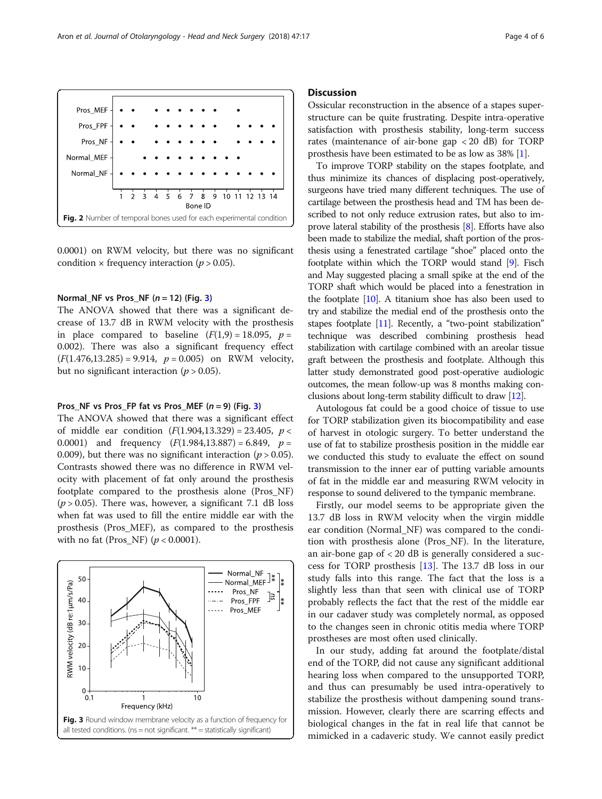0.0001) on RWM velocity, but there was no significant condition  $\times$  frequency interaction ( $p > 0.05$ ).

# Normal\_NF vs Pros\_NF  $(n = 12)$  (Fig. 3)

<span id="page-3-0"></span>Pros\_MEF Pros FPF Pros NF Normal MEF

The ANOVA showed that there was a significant decrease of 13.7 dB in RWM velocity with the prosthesis in place compared to baseline  $(F(1,9) = 18.095, p =$ 0.002). There was also a significant frequency effect  $(F(1.476, 13.285) = 9.914, p = 0.005)$  on RWM velocity, but no significant interaction ( $p > 0.05$ ).

# Pros\_NF vs Pros\_FP fat vs Pros\_MEF  $(n = 9)$  (Fig. 3)

The ANOVA showed that there was a significant effect of middle ear condition  $(F(1.904, 13.329) = 23.405, p <$ 0.0001) and frequency  $(F(1.984, 13.887) = 6.849, p =$ 0.009), but there was no significant interaction ( $p > 0.05$ ). Contrasts showed there was no difference in RWM velocity with placement of fat only around the prosthesis footplate compared to the prosthesis alone (Pros\_NF)  $(p > 0.05)$ . There was, however, a significant 7.1 dB loss when fat was used to fill the entire middle ear with the prosthesis (Pros\_MEF), as compared to the prosthesis with no fat (Pros\_NF)  $(p < 0.0001)$ .

# **Discussion**

Ossicular reconstruction in the absence of a stapes superstructure can be quite frustrating. Despite intra-operative satisfaction with prosthesis stability, long-term success rates (maintenance of air-bone gap < 20 dB) for TORP prosthesis have been estimated to be as low as 38% [\[1\]](#page-4-0).

To improve TORP stability on the stapes footplate, and thus minimize its chances of displacing post-operatively, surgeons have tried many different techniques. The use of cartilage between the prosthesis head and TM has been described to not only reduce extrusion rates, but also to improve lateral stability of the prosthesis [[8\]](#page-4-0). Efforts have also been made to stabilize the medial, shaft portion of the prosthesis using a fenestrated cartilage "shoe" placed onto the footplate within which the TORP would stand [\[9\]](#page-4-0). Fisch and May suggested placing a small spike at the end of the TORP shaft which would be placed into a fenestration in the footplate [\[10\]](#page-4-0). A titanium shoe has also been used to try and stabilize the medial end of the prosthesis onto the stapes footplate  $[11]$  $[11]$ . Recently, a "two-point stabilization" technique was described combining prosthesis head stabilization with cartilage combined with an areolar tissue graft between the prosthesis and footplate. Although this latter study demonstrated good post-operative audiologic outcomes, the mean follow-up was 8 months making conclusions about long-term stability difficult to draw [\[12](#page-5-0)].

Autologous fat could be a good choice of tissue to use for TORP stabilization given its biocompatibility and ease of harvest in otologic surgery. To better understand the use of fat to stabilize prosthesis position in the middle ear we conducted this study to evaluate the effect on sound transmission to the inner ear of putting variable amounts of fat in the middle ear and measuring RWM velocity in response to sound delivered to the tympanic membrane.

Firstly, our model seems to be appropriate given the 13.7 dB loss in RWM velocity when the virgin middle ear condition (Normal\_NF) was compared to the condition with prosthesis alone (Pros\_NF). In the literature, an air-bone gap of < 20 dB is generally considered a success for TORP prosthesis [\[13](#page-5-0)]. The 13.7 dB loss in our study falls into this range. The fact that the loss is a slightly less than that seen with clinical use of TORP probably reflects the fact that the rest of the middle ear in our cadaver study was completely normal, as opposed to the changes seen in chronic otitis media where TORP prostheses are most often used clinically.

In our study, adding fat around the footplate/distal end of the TORP, did not cause any significant additional hearing loss when compared to the unsupported TORP, and thus can presumably be used intra-operatively to stabilize the prosthesis without dampening sound transmission. However, clearly there are scarring effects and biological changes in the fat in real life that cannot be mimicked in a cadaveric study. We cannot easily predict



Normal NF  $\overline{1}$  $\overline{2}$  $\overline{3}$  $\overline{4}$  $\overline{5}$ 6  $\overline{7}$  $\overline{8}$  $\overline{9}$  $10<sup>10</sup>$ 11 12 13 14 Bone ID Fig. 2 Number of temporal bones used for each experimental condition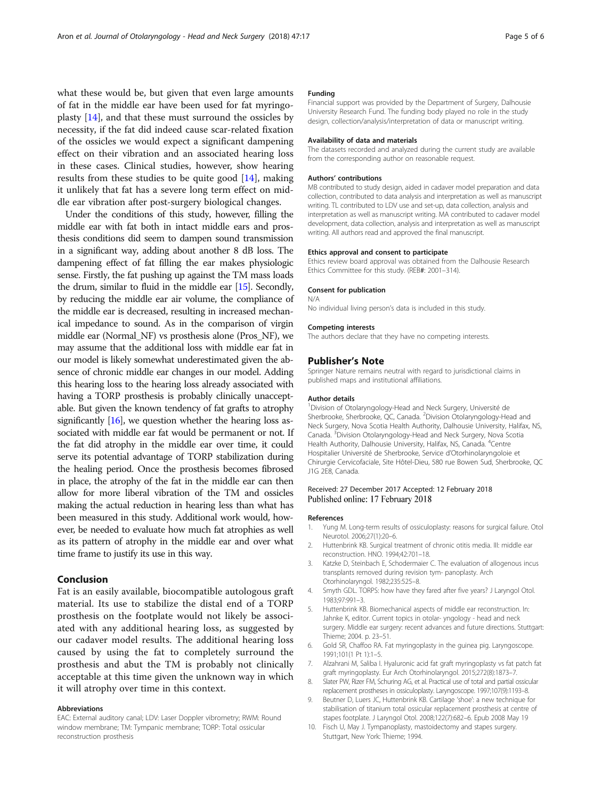<span id="page-4-0"></span>what these would be, but given that even large amounts of fat in the middle ear have been used for fat myringoplasty [[14](#page-5-0)], and that these must surround the ossicles by necessity, if the fat did indeed cause scar-related fixation of the ossicles we would expect a significant dampening effect on their vibration and an associated hearing loss in these cases. Clinical studies, however, show hearing results from these studies to be quite good [[14\]](#page-5-0), making it unlikely that fat has a severe long term effect on middle ear vibration after post-surgery biological changes.

Under the conditions of this study, however, filling the middle ear with fat both in intact middle ears and prosthesis conditions did seem to dampen sound transmission in a significant way, adding about another 8 dB loss. The dampening effect of fat filling the ear makes physiologic sense. Firstly, the fat pushing up against the TM mass loads the drum, similar to fluid in the middle ear [[15](#page-5-0)]. Secondly, by reducing the middle ear air volume, the compliance of the middle ear is decreased, resulting in increased mechanical impedance to sound. As in the comparison of virgin middle ear (Normal\_NF) vs prosthesis alone (Pros\_NF), we may assume that the additional loss with middle ear fat in our model is likely somewhat underestimated given the absence of chronic middle ear changes in our model. Adding this hearing loss to the hearing loss already associated with having a TORP prosthesis is probably clinically unacceptable. But given the known tendency of fat grafts to atrophy significantly  $[16]$ , we question whether the hearing loss associated with middle ear fat would be permanent or not. If the fat did atrophy in the middle ear over time, it could serve its potential advantage of TORP stabilization during the healing period. Once the prosthesis becomes fibrosed in place, the atrophy of the fat in the middle ear can then allow for more liberal vibration of the TM and ossicles making the actual reduction in hearing less than what has been measured in this study. Additional work would, however, be needed to evaluate how much fat atrophies as well as its pattern of atrophy in the middle ear and over what time frame to justify its use in this way.

# Conclusion

Fat is an easily available, biocompatible autologous graft material. Its use to stabilize the distal end of a TORP prosthesis on the footplate would not likely be associated with any additional hearing loss, as suggested by our cadaver model results. The additional hearing loss caused by using the fat to completely surround the prosthesis and abut the TM is probably not clinically acceptable at this time given the unknown way in which it will atrophy over time in this context.

#### Abbreviations

EAC: External auditory canal; LDV: Laser Doppler vibrometry; RWM: Round window membrane; TM: Tympanic membrane; TORP: Total ossicular reconstruction prosthesis

#### Funding

Financial support was provided by the Department of Surgery, Dalhousie University Research Fund. The funding body played no role in the study design, collection/analysis/interpretation of data or manuscript writing.

#### Availability of data and materials

The datasets recorded and analyzed during the current study are available from the corresponding author on reasonable request.

#### Authors' contributions

MB contributed to study design, aided in cadaver model preparation and data collection, contributed to data analysis and interpretation as well as manuscript writing. TL contributed to LDV use and set-up, data collection, analysis and interpretation as well as manuscript writing. MA contributed to cadaver model development, data collection, analysis and interpretation as well as manuscript writing. All authors read and approved the final manuscript.

#### Ethics approval and consent to participate

Ethics review board approval was obtained from the Dalhousie Research Ethics Committee for this study. (REB#: 2001–314).

#### Consent for publication

No individual living person's data is included in this study.

#### Competing interests

N/A

The authors declare that they have no competing interests.

#### Publisher's Note

Springer Nature remains neutral with regard to jurisdictional claims in published maps and institutional affiliations.

#### Author details

<sup>1</sup> Division of Otolaryngology-Head and Neck Surgery, Université de Sherbrooke, Sherbrooke, QC, Canada. <sup>2</sup> Division Otolaryngology-Head and Neck Surgery, Nova Scotia Health Authority, Dalhousie University, Halifax, NS, Canada. <sup>3</sup> Division Otolaryngology-Head and Neck Surgery, Nova Scotia Health Authority, Dalhousie University, Halifax, NS, Canada. <sup>4</sup>Centre Hospitalier Université de Sherbrooke, Service d'Otorhinolaryngoloie et Chirurgie Cervicofaciale, Site Hôtel-Dieu, 580 rue Bowen Sud, Sherbrooke, QC J1G 2E8, Canada.

#### Received: 27 December 2017 Accepted: 12 February 2018 Published online: 17 February 2018

#### References

- 1. Yung M. Long-term results of ossiculoplasty: reasons for surgical failure. Otol Neurotol. 2006;27(1):20–6.
- 2. Huttenbrink KB. Surgical treatment of chronic otitis media. III: middle ear reconstruction. HNO. 1994;42:701–18.
- 3. Katzke D, Steinbach E, Schodermaier C. The evaluation of allogenous incus transplants removed during revision tym- panoplasty. Arch Otorhinolaryngol. 1982;235:525–8.
- 4. Smyth GDL. TORPS: how have they fared after five years? J Laryngol Otol. 1983;97:991–3.
- 5. Huttenbrink KB. Biomechanical aspects of middle ear reconstruction. In: Jahnke K, editor. Current topics in otolar- yngology - head and neck surgery. Middle ear surgery: recent advances and future directions. Stuttgart: Thieme; 2004. p. 23–51.
- 6. Gold SR, Chaffoo RA. Fat myringoplasty in the guinea pig. Laryngoscope. 1991;101(1 Pt 1):1–5.
- 7. Alzahrani M, Saliba I. Hyaluronic acid fat graft myringoplasty vs fat patch fat graft myringoplasty. Eur Arch Otorhinolaryngol. 2015;272(8):1873–7.
- 8. Slater PW, Rizer FM, Schuring AG, et al. Practical use of total and partial ossicular replacement prostheses in ossiculoplasty. Laryngoscope. 1997;107(9):1193–8.
- 9. Beutner D, Luers JC, Huttenbrink KB. Cartilage 'shoe': a new technique for stabilisation of titanium total ossicular replacement prosthesis at centre of stapes footplate. J Laryngol Otol. 2008;122(7):682–6. Epub 2008 May 19
- 10. Fisch U, May J. Tympanoplasty, mastoidectomy and stapes surgery. Stuttgart, New York: Thieme; 1994.